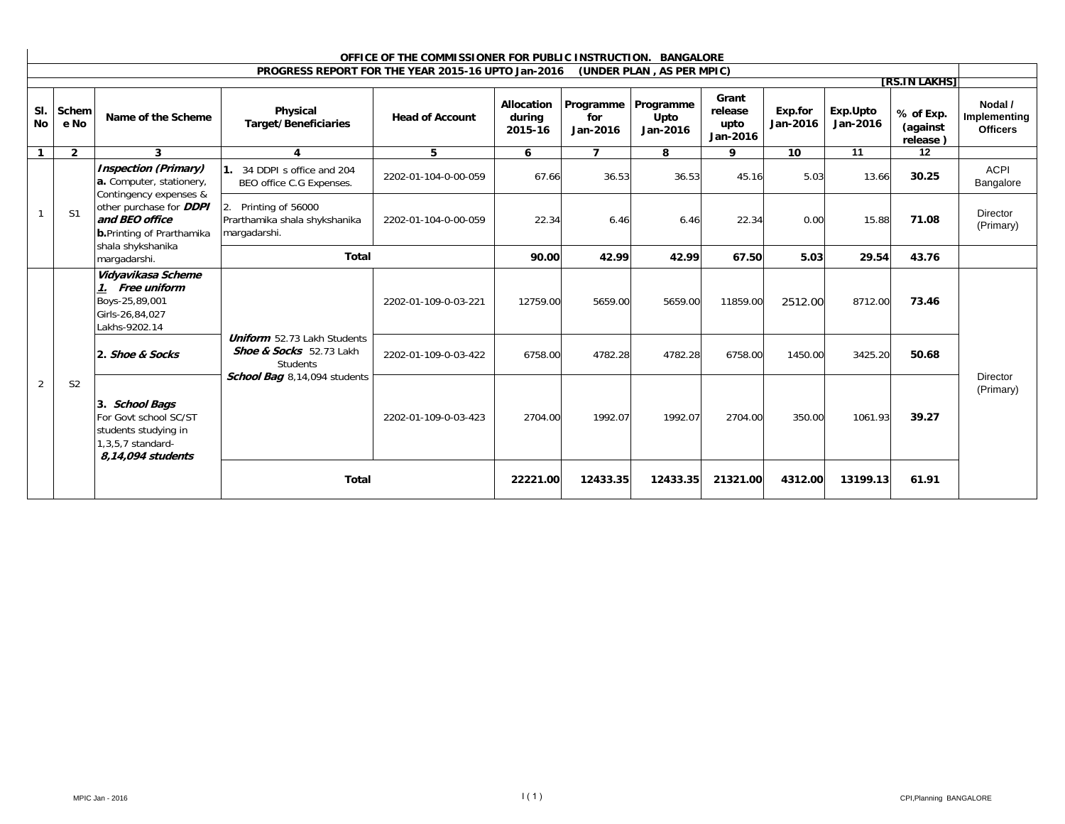|                                                                                 |                |                                                                                                                                                |                                                                                        | OFFICE OF THE COMMISSIONER FOR PUBLIC INSTRUCTION. BANGALORE |                                 |                              |                               |                                      |                     |                      |                                   |                                            |
|---------------------------------------------------------------------------------|----------------|------------------------------------------------------------------------------------------------------------------------------------------------|----------------------------------------------------------------------------------------|--------------------------------------------------------------|---------------------------------|------------------------------|-------------------------------|--------------------------------------|---------------------|----------------------|-----------------------------------|--------------------------------------------|
| PROGRESS REPORT FOR THE YEAR 2015-16 UPTO Jan-2016<br>(UNDER PLAN, AS PER MPIC) |                |                                                                                                                                                |                                                                                        |                                                              |                                 |                              |                               |                                      |                     |                      |                                   |                                            |
|                                                                                 |                |                                                                                                                                                |                                                                                        |                                                              |                                 |                              |                               |                                      |                     |                      | [RS.IN LAKHS]                     |                                            |
| SI.<br><b>No</b>                                                                | Schem<br>e No  | Name of the Scheme                                                                                                                             | Physical<br><b>Target/Beneficiaries</b>                                                | <b>Head of Account</b>                                       | Allocation<br>during<br>2015-16 | Programme<br>for<br>Jan-2016 | Programme<br>Upto<br>Jan-2016 | Grant<br>release<br>upto<br>Jan-2016 | Exp.for<br>Jan-2016 | Exp.Upto<br>Jan-2016 | % of Exp.<br>(against<br>release) | Nodal /<br>Implementing<br><b>Officers</b> |
| $\mathbf{1}$                                                                    | $\overline{2}$ | $\mathbf{3}$                                                                                                                                   | 4                                                                                      | 5                                                            | 6                               | $\overline{ }$               | 8                             | 9                                    | 10                  | 11                   | 12                                |                                            |
|                                                                                 |                | <b>Inspection (Primary)</b><br>a. Computer, stationery,                                                                                        | 34 DDPLs office and 204<br>BEO office C.G Expenses.                                    | 2202-01-104-0-00-059                                         | 67.66                           | 36.53                        | 36.53                         | 45.16                                | 5.03                | 13.66                | 30.25                             | <b>ACPI</b><br>Bangalore                   |
|                                                                                 | S <sub>1</sub> | Contingency expenses &<br>other purchase for <i>DDPI</i><br>and BEO office<br><b>b.</b> Printing of Prarthamika                                | Printing of 56000<br>$\overline{2}$ .<br>Prarthamika shala shykshanika<br>margadarshi. | 2202-01-104-0-00-059                                         | 22.34                           | 6.46                         | 6.46                          | 22.34                                | 0.00                | 15.88                | 71.08                             | Director<br>(Primary)                      |
|                                                                                 |                | shala shykshanika<br>margadarshi.                                                                                                              | <b>Total</b>                                                                           |                                                              | 90.00                           | 42.99                        | 42.99                         | 67.50                                | 5.03                | 29.54                | 43.76                             |                                            |
|                                                                                 |                | Vidyavikasa Scheme<br>1. Free uniform<br>Boys-25,89,001<br>Girls-26,84,027<br>Lakhs-9202.14                                                    | <b>Uniform</b> 52.73 Lakh Students<br>Shoe & Socks 52.73 Lakh<br><b>Students</b>       | 2202-01-109-0-03-221                                         | 12759.00                        | 5659.00                      | 5659.00                       | 11859.00                             | 2512.00             | 8712.00              | 73.46                             |                                            |
|                                                                                 |                | 2. Shoe & Socks<br>S <sub>2</sub><br>3. School Bags<br>For Govt school SC/ST<br>students studying in<br>1,3,5,7 standard-<br>8,14,094 students |                                                                                        | 2202-01-109-0-03-422                                         | 6758.00                         | 4782.28                      | 4782.28                       | 6758.00                              | 1450.00             | 3425.20              | 50.68                             |                                            |
| 2                                                                               |                |                                                                                                                                                | School Bag 8,14,094 students                                                           | 2202-01-109-0-03-423                                         | 2704.00                         | 1992.07                      | 1992.07                       | 2704.00                              | 350.00              | 1061.93              | 39.27                             | <b>Director</b><br>(Primary)               |
|                                                                                 |                |                                                                                                                                                | <b>Total</b>                                                                           |                                                              | 22221.00                        | 12433.35                     | 12433.35                      | 21321.00                             | 4312.00             | 13199.13             | 61.91                             |                                            |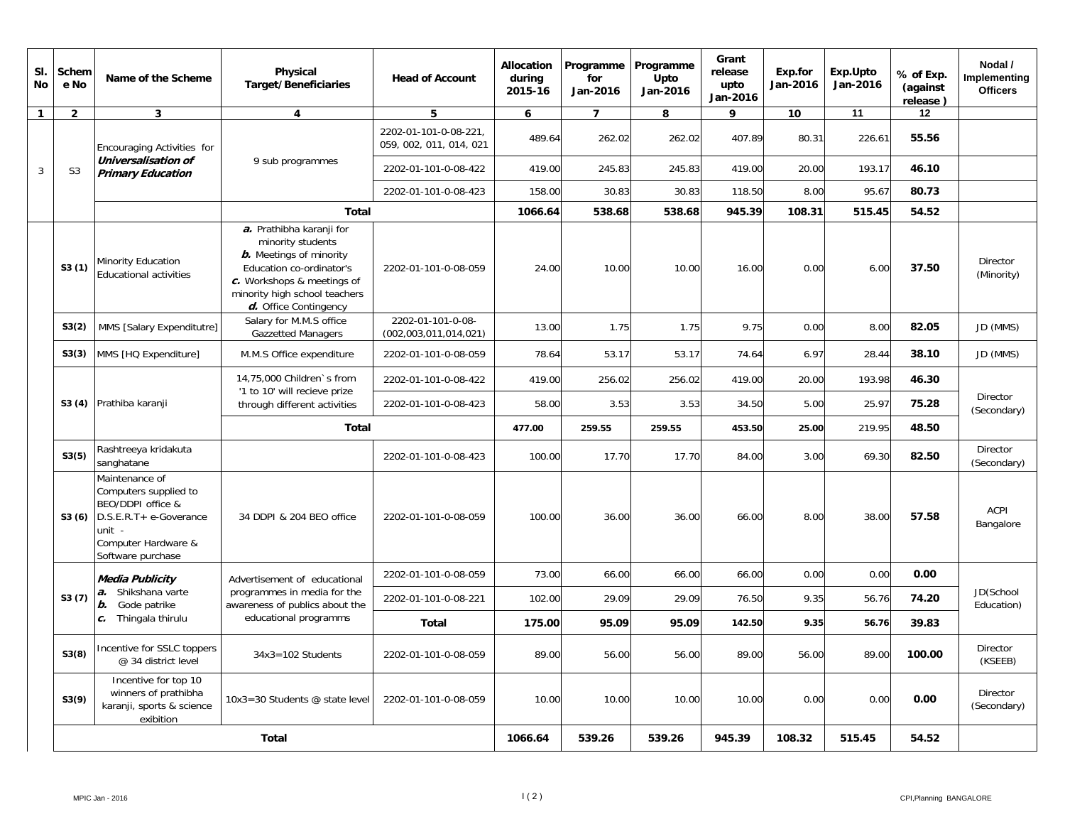| SI.<br><b>No</b> | Schem<br>e No  | Name of the Scheme                                                                                                                           | <b>Physical</b><br><b>Target/Beneficiaries</b>                                                                                                                                                      | <b>Head of Account</b>                           | <b>Allocation</b><br>during<br>2015-16 | Programme<br>for<br>Jan-2016 | Programme<br>Upto<br>Jan-2016 | Grant<br>release<br>upto<br>Jan-2016 | Exp.for<br>Jan-2016 | Exp.Upto<br>Jan-2016 | % of Exp.<br>(against<br>release) | Nodal /<br>Implementing<br><b>Officers</b> |
|------------------|----------------|----------------------------------------------------------------------------------------------------------------------------------------------|-----------------------------------------------------------------------------------------------------------------------------------------------------------------------------------------------------|--------------------------------------------------|----------------------------------------|------------------------------|-------------------------------|--------------------------------------|---------------------|----------------------|-----------------------------------|--------------------------------------------|
| $\mathbf{1}$     | $\overline{2}$ | $\overline{3}$                                                                                                                               | $\overline{4}$                                                                                                                                                                                      | 5                                                | 6                                      | $\overline{7}$               | 8                             | 9                                    | 10                  | 11                   | 12                                |                                            |
|                  |                | Encouraging Activities for                                                                                                                   |                                                                                                                                                                                                     | 2202-01-101-0-08-221.<br>059, 002, 011, 014, 021 | 489.64                                 | 262.02                       | 262.02                        | 407.89                               | 80.31               | 226.61               | 55.56                             |                                            |
| 3                | S <sub>3</sub> | Universalisation of<br><b>Primary Education</b>                                                                                              | 9 sub programmes                                                                                                                                                                                    | 2202-01-101-0-08-422                             | 419.00                                 | 245.83                       | 245.83                        | 419.00                               | 20.00               | 193.17               | 46.10                             |                                            |
|                  |                |                                                                                                                                              |                                                                                                                                                                                                     | 2202-01-101-0-08-423                             | 158.00                                 | 30.83                        | 30.83                         | 118.50                               | 8.00                | 95.67                | 80.73                             |                                            |
|                  |                |                                                                                                                                              | <b>Total</b>                                                                                                                                                                                        |                                                  | 1066.64                                | 538.68                       | 538.68                        | 945.39                               | 108.31              | 515.45               | 54.52                             |                                            |
|                  | S3(1)          | Minority Education<br><b>Educational activities</b>                                                                                          | a. Prathibha karanji for<br>minority students<br><b>b.</b> Meetings of minority<br>Education co-ordinator's<br>c. Workshops & meetings of<br>minority high school teachers<br>d. Office Contingency | 2202-01-101-0-08-059                             | 24.00                                  | 10.00                        | 10.00                         | 16.00                                | 0.00                | 6.00                 | 37.50                             | Director<br>(Minority)                     |
|                  | S3(2)          | MMS [Salary Expenditutre]                                                                                                                    | Salary for M.M.S office<br><b>Gazzetted Managers</b>                                                                                                                                                | 2202-01-101-0-08-<br>(002,003,011,014,021)       | 13.00                                  | 1.75                         | 1.75                          | 9.75                                 | 0.00                | 8.00                 | 82.05                             | JD (MMS)                                   |
|                  | S3(3)          | MMS [HQ Expenditure]                                                                                                                         | M.M.S Office expenditure                                                                                                                                                                            | 2202-01-101-0-08-059                             | 78.64                                  | 53.17                        | 53.17                         | 74.64                                | 6.97                | 28.44                | 38.10                             | JD (MMS)                                   |
|                  |                |                                                                                                                                              | 14,75,000 Children's from                                                                                                                                                                           | 2202-01-101-0-08-422                             | 419.00                                 | 256.02                       | 256.02                        | 419.00                               | 20.00               | 193.98               | 46.30                             |                                            |
|                  | S3(4)          | Prathiba karanji                                                                                                                             | '1 to 10' will recieve prize<br>through different activities                                                                                                                                        | 2202-01-101-0-08-423                             | 58.00                                  | 3.53                         | 3.53                          | 34.50                                | 5.00                | 25.97                | 75.28                             | <b>Director</b><br>(Secondary)             |
|                  |                |                                                                                                                                              | <b>Total</b>                                                                                                                                                                                        |                                                  | 477.00                                 | 259.55                       | 259.55                        | 453.50                               | 25.00               | 219.95               | 48.50                             |                                            |
|                  | S3(5)          | Rashtreeya kridakuta<br>sanghatane                                                                                                           |                                                                                                                                                                                                     | 2202-01-101-0-08-423                             | 100.00                                 | 17.70                        | 17.70                         | 84.00                                | 3.00                | 69.30                | 82.50                             | Director<br>(Secondary)                    |
|                  | S3(6)          | Maintenance of<br>Computers supplied to<br>BEO/DDPI office &<br>D.S.E.R.T+ e-Goverance<br>unit -<br>Computer Hardware &<br>Software purchase | 34 DDPI & 204 BEO office                                                                                                                                                                            | 2202-01-101-0-08-059                             | 100.00                                 | 36.00                        | 36.00                         | 66.00                                | 8.00                | 38.00                | 57.58                             | <b>ACPI</b><br>Bangalore                   |
|                  |                | <b>Media Publicity</b>                                                                                                                       | Advertisement of educational                                                                                                                                                                        | 2202-01-101-0-08-059                             | 73.00                                  | 66.00                        | 66.00                         | 66.00                                | 0.00                | 0.00                 | 0.00                              |                                            |
|                  | S3(7)          | Shikshana varte<br>a.<br>b.<br>Gode patrike                                                                                                  | programmes in media for the<br>awareness of publics about the                                                                                                                                       | 2202-01-101-0-08-221                             | 102.00                                 | 29.09                        | 29.09                         | 76.50                                | 9.35                | 56.76                | 74.20                             | JD(School<br>Education)                    |
|                  |                | c. Thingala thirulu                                                                                                                          | educational programms                                                                                                                                                                               | <b>Total</b>                                     | 175.00                                 | 95.09                        | 95.09                         | 142.50                               | 9.35                | 56.76                | 39.83                             |                                            |
|                  | S3(8)          | Incentive for SSLC toppers<br>@ 34 district level                                                                                            | $34x3 = 102$ Students                                                                                                                                                                               | 2202-01-101-0-08-059                             | 89.00                                  | 56.00                        | 56.00                         | 89.00                                | 56.00               | 89.00                | 100.00                            | <b>Director</b><br>(KSEEB)                 |
|                  | S3(9)          | Incentive for top 10<br>winners of prathibha<br>karanji, sports & science<br>exibition                                                       | 10x3=30 Students @ state level                                                                                                                                                                      | 2202-01-101-0-08-059                             | 10.00                                  | 10.00                        | 10.00                         | 10.00                                | 0.00                | 0.00                 | 0.00                              | Director<br>(Secondary)                    |
|                  | <b>Total</b>   |                                                                                                                                              |                                                                                                                                                                                                     |                                                  | 1066.64                                | 539.26                       | 539.26                        | 945.39                               | 108.32              | 515.45               | 54.52                             |                                            |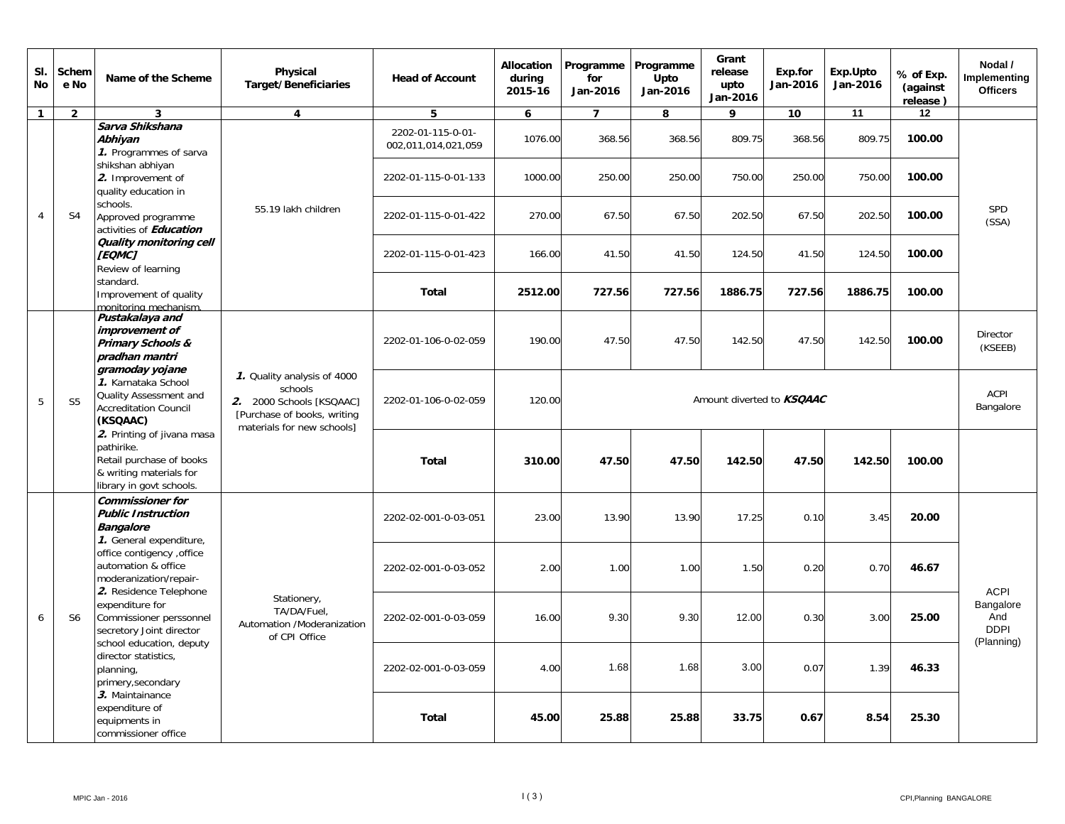| SI.<br><b>No</b> | Schem<br>e No  | Name of the Scheme                                                                                                                                                                                                                                                                                                                                                            | <b>Physical</b><br><b>Target/Beneficiaries</b>                            | <b>Head of Account</b>                   | Allocation<br>during<br>2015-16                       | Programme<br>for<br>Jan-2016 | Programme<br>Upto<br>Jan-2016 | Grant<br>release<br>upto<br>Jan-2016 | Exp.for<br>Jan-2016 | Exp.Upto<br>Jan-2016 | % of Exp.<br>(against<br>release) | Nodal /<br>Implementing<br><b>Officers</b>    |
|------------------|----------------|-------------------------------------------------------------------------------------------------------------------------------------------------------------------------------------------------------------------------------------------------------------------------------------------------------------------------------------------------------------------------------|---------------------------------------------------------------------------|------------------------------------------|-------------------------------------------------------|------------------------------|-------------------------------|--------------------------------------|---------------------|----------------------|-----------------------------------|-----------------------------------------------|
| $\mathbf{1}$     | $\overline{2}$ | 3                                                                                                                                                                                                                                                                                                                                                                             | $\overline{4}$                                                            | 5                                        | 6                                                     | $\overline{7}$               | 8                             | 9                                    | 10                  | 11                   | 12                                |                                               |
|                  |                | Sarva Shikshana<br>Abhiyan<br>1. Programmes of sarva                                                                                                                                                                                                                                                                                                                          |                                                                           | 2202-01-115-0-01-<br>002,011,014,021,059 | 1076.00                                               | 368.56                       | 368.56                        | 809.75                               | 368.56              | 809.75               | 100.00                            |                                               |
|                  |                | shikshan abhiyan<br>2. Improvement of<br>quality education in                                                                                                                                                                                                                                                                                                                 |                                                                           | 2202-01-115-0-01-133                     | 1000.00                                               | 250.00                       | 250.00                        | 750.00                               | 250.00              | 750.00               | 100.00                            |                                               |
| $\overline{4}$   | S <sub>4</sub> | schools.<br>Approved programme<br>activities of <b>Education</b>                                                                                                                                                                                                                                                                                                              | 55.19 lakh children                                                       | 2202-01-115-0-01-422                     | 270.00                                                | 67.50                        | 67.50                         | 202.50                               | 67.50               | 202.50               | 100.00                            | <b>SPD</b><br>(SSA)                           |
|                  |                | <b>Quality monitoring cell</b><br>[EQMC]<br>Review of learning                                                                                                                                                                                                                                                                                                                |                                                                           | 2202-01-115-0-01-423                     | 166.00                                                | 41.50                        | 41.50                         | 124.50                               | 41.50               | 124.50               | 100.00                            |                                               |
|                  |                | standard.<br>Improvement of quality<br>monitoring mechanism.                                                                                                                                                                                                                                                                                                                  |                                                                           | <b>Total</b>                             | 2512.00                                               | 727.56                       | 727.56                        | 1886.75                              | 727.56              | 1886.75              | 100.00                            |                                               |
|                  |                | Pustakalaya and<br>improvement of<br><b>Primary Schools &amp;</b><br>pradhan mantri                                                                                                                                                                                                                                                                                           |                                                                           | 2202-01-106-0-02-059                     | 190.00<br>47.50<br>47.50<br>142.50<br>47.50<br>142.50 | 100.00                       | <b>Director</b><br>(KSEEB)    |                                      |                     |                      |                                   |                                               |
| 5                | S <sub>5</sub> | gramoday yojane<br>1. Quality analysis of 4000<br>1. Karnataka School<br>schools<br>Quality Assessment and<br>Amount diverted to <b>KSOAAC</b><br>2202-01-106-0-02-059<br>120.00<br>2. 2000 Schools [KSQAAC]<br><b>Accreditation Council</b><br>[Purchase of books, writing]<br>(KSQAAC)<br>materials for new schools]                                                        |                                                                           |                                          | <b>ACPI</b><br>Bangalore                              |                              |                               |                                      |                     |                      |                                   |                                               |
|                  |                | 2. Printing of jivana masa<br>pathirike.<br>Retail purchase of books<br>& writing materials for<br>library in govt schools.                                                                                                                                                                                                                                                   |                                                                           | <b>Total</b>                             | 310.00                                                | 47.50                        | 47.50                         | 142.50                               | 47.50               | 142.50               | 100.00                            |                                               |
|                  |                | <b>Commissioner for</b><br><b>Public Instruction</b><br><b>Bangalore</b><br>1. General expenditure,<br>office contigency , office<br>automation & office<br>moderanization/repair-<br>2. Residence Telephone<br>expenditure for<br>Commissioner perssonnel<br>secretory Joint director<br>school education, deputy<br>director statistics,<br>planning,<br>primery, secondary |                                                                           | 2202-02-001-0-03-051                     | 23.00                                                 | 13.90                        | 13.90                         | 17.25                                | 0.10                | 3.45                 | 20.00                             |                                               |
|                  |                |                                                                                                                                                                                                                                                                                                                                                                               |                                                                           | 2202-02-001-0-03-052                     | 2.00                                                  | 1.00                         | 1.00                          | 1.50                                 | 0.20                | 0.70                 | 46.67                             | <b>ACPI</b>                                   |
| 6                | S <sub>6</sub> |                                                                                                                                                                                                                                                                                                                                                                               | Stationery,<br>TA/DA/Fuel,<br>Automation /Moderanization<br>of CPI Office | 2202-02-001-0-03-059                     | 16.00                                                 | 9.30                         | 9.30                          | 12.00                                | 0.30                | 3.00                 | 25.00                             | Bangalore<br>And<br><b>DDPI</b><br>(Planning) |
|                  |                |                                                                                                                                                                                                                                                                                                                                                                               |                                                                           | 2202-02-001-0-03-059                     | 4.00                                                  | 1.68                         | 1.68                          | 3.00                                 | 0.07                | 1.39                 | 46.33                             |                                               |
|                  |                |                                                                                                                                                                                                                                                                                                                                                                               | 3. Maintainance<br>expenditure of<br>equipments in<br>commissioner office |                                          | <b>Total</b>                                          | 45.00                        | 25.88                         | 25.88                                | 33.75               | 0.67                 | 8.54                              | 25.30                                         |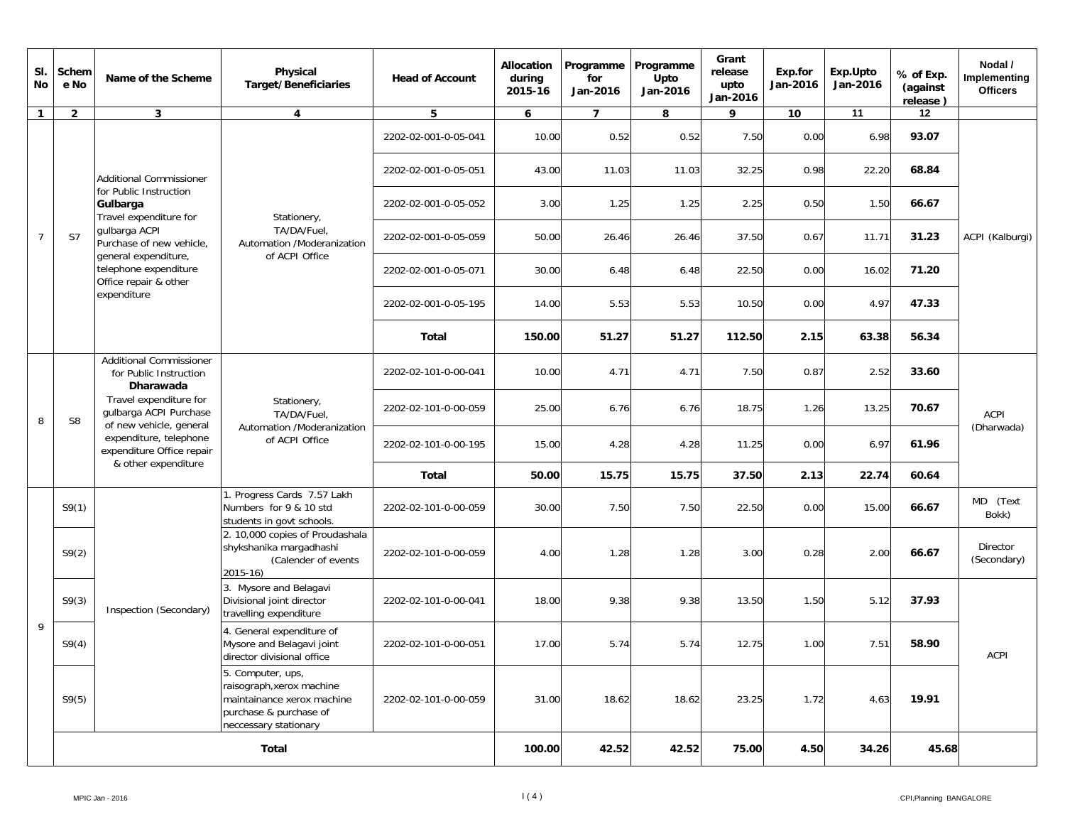| SI.<br>No      | Schem<br>e No  | Name of the Scheme                                                                                                                                                                                                                        | Physical<br><b>Target/Beneficiaries</b>                                                                                         | <b>Head of Account</b> | <b>Allocation</b><br>during<br>2015-16 | Programme<br>for<br>Jan-2016 | Programme<br>Upto<br>Jan-2016 | Grant<br>release<br>upto<br>Jan-2016 | Exp.for<br>Jan-2016 | Exp.Upto<br>Jan-2016 | % of Exp.<br>(against<br>release) | Nodal /<br>Implementing<br><b>Officers</b> |  |
|----------------|----------------|-------------------------------------------------------------------------------------------------------------------------------------------------------------------------------------------------------------------------------------------|---------------------------------------------------------------------------------------------------------------------------------|------------------------|----------------------------------------|------------------------------|-------------------------------|--------------------------------------|---------------------|----------------------|-----------------------------------|--------------------------------------------|--|
| $\mathbf{1}$   | $\overline{2}$ | $\mathbf{3}$                                                                                                                                                                                                                              | 4                                                                                                                               | 5                      | 6                                      | $\overline{7}$               | 8                             | 9                                    | 10                  | 11                   | 12                                |                                            |  |
|                |                |                                                                                                                                                                                                                                           |                                                                                                                                 | 2202-02-001-0-05-041   | 10.00                                  | 0.52                         | 0.52                          | 7.50                                 | 0.00                | 6.98                 | 93.07                             |                                            |  |
|                |                | <b>Additional Commissioner</b>                                                                                                                                                                                                            |                                                                                                                                 | 2202-02-001-0-05-051   | 43.00                                  | 11.03                        | 11.03                         | 32.25                                | 0.98                | 22.20                | 68.84                             |                                            |  |
|                |                | for Public Instruction<br>Gulbarga<br>Travel expenditure for                                                                                                                                                                              | Stationery,                                                                                                                     | 2202-02-001-0-05-052   | 3.00                                   | 1.25                         | 1.25                          | 2.25                                 | 0.50                | 1.50                 | 66.67                             |                                            |  |
| $\overline{7}$ | S7             | qulbarga ACPI<br>Purchase of new vehicle,<br>general expenditure,<br>telephone expenditure<br>Office repair & other                                                                                                                       | TA/DA/Fuel,<br>Automation /Moderanization<br>of ACPI Office                                                                     | 2202-02-001-0-05-059   | 50.00                                  | 26.46                        | 26.46                         | 37.50                                | 0.67                | 11.71                | 31.23                             | ACPI (Kalburgi)                            |  |
|                |                |                                                                                                                                                                                                                                           |                                                                                                                                 | 2202-02-001-0-05-071   | 30.00                                  | 6.48                         | 6.48                          | 22.50                                | 0.00                | 16.02                | 71.20                             |                                            |  |
|                |                | expenditure                                                                                                                                                                                                                               |                                                                                                                                 | 2202-02-001-0-05-195   | 14.00                                  | 5.53                         | 5.53                          | 10.50                                | 0.00                | 4.97                 | 47.33                             |                                            |  |
|                |                |                                                                                                                                                                                                                                           |                                                                                                                                 |                        | Total                                  | 150.00                       | 51.27                         | 51.27                                | 112.50              | 2.15                 | 63.38                             | 56.34                                      |  |
|                | S <sub>8</sub> | <b>Additional Commissioner</b><br>for Public Instruction<br><b>Dharawada</b><br>Travel expenditure for<br>gulbarga ACPI Purchase<br>of new vehicle, general<br>expenditure, telephone<br>expenditure Office repair<br>& other expenditure | Stationery,<br>TA/DA/Fuel,<br>Automation /Moderanization<br>of ACPI Office                                                      | 2202-02-101-0-00-041   | 10.00                                  | 4.71                         | 4.71                          | 7.50                                 | 0.87                | 2.52                 | 33.60                             |                                            |  |
| 8              |                |                                                                                                                                                                                                                                           |                                                                                                                                 | 2202-02-101-0-00-059   | 25.00                                  | 6.76                         | 6.76                          | 18.75                                | 1.26                | 13.25                | 70.67                             | <b>ACPI</b>                                |  |
|                |                |                                                                                                                                                                                                                                           |                                                                                                                                 | 2202-02-101-0-00-195   | 15.00                                  | 4.28                         | 4.28                          | 11.25                                | 0.00                | 6.97                 | 61.96                             | (Dharwada)                                 |  |
|                |                |                                                                                                                                                                                                                                           |                                                                                                                                 | <b>Total</b>           | 50.00                                  | 15.75                        | 15.75                         | 37.50                                | 2.13                | 22.74                | 60.64                             |                                            |  |
|                | S9(1)          |                                                                                                                                                                                                                                           | 1. Progress Cards 7.57 Lakh<br>Numbers for 9 & 10 std<br>students in govt schools.                                              | 2202-02-101-0-00-059   | 30.00                                  | 7.50                         | 7.50                          | 22.50                                | 0.00                | 15.00                | 66.67                             | MD (Text<br>Bokk)                          |  |
|                | S9(2)          |                                                                                                                                                                                                                                           | 2. 10,000 copies of Proudashala<br>shykshanika margadhashi<br>(Calender of events<br>$2015 - 16$                                | 2202-02-101-0-00-059   | 4.00                                   | 1.28                         | 1.28                          | 3.00                                 | 0.28                | 2.00                 | 66.67                             | Director<br>(Secondary)                    |  |
|                | S9(3)          | Inspection (Secondary)                                                                                                                                                                                                                    | 3. Mysore and Belagavi<br>Divisional joint director<br>travelling expenditure                                                   | 2202-02-101-0-00-041   | 18.00                                  | 9.38                         | 9.38                          | 13.50                                | 1.50                | 5.12                 | 37.93                             |                                            |  |
| 9              | S9(4)          |                                                                                                                                                                                                                                           | 4. General expenditure of<br>Mysore and Belagavi joint<br>director divisional office                                            | 2202-02-101-0-00-051   | 17.00                                  | 5.74                         | 5.74                          | 12.75                                | 1.00                | 7.51                 | 58.90                             | ACPI                                       |  |
|                | S9(5)          |                                                                                                                                                                                                                                           | 5. Computer, ups,<br>raisograph, xerox machine<br>maintainance xerox machine<br>purchase & purchase of<br>neccessary stationary | 2202-02-101-0-00-059   | 31.00                                  | 18.62                        | 18.62                         | 23.25                                | 1.72                | 4.63                 | 19.91                             |                                            |  |
|                |                |                                                                                                                                                                                                                                           | <b>Total</b>                                                                                                                    |                        | 100.00                                 | 42.52                        | 42.52                         | 75.00                                | 4.50                | 34.26                | 45.68                             |                                            |  |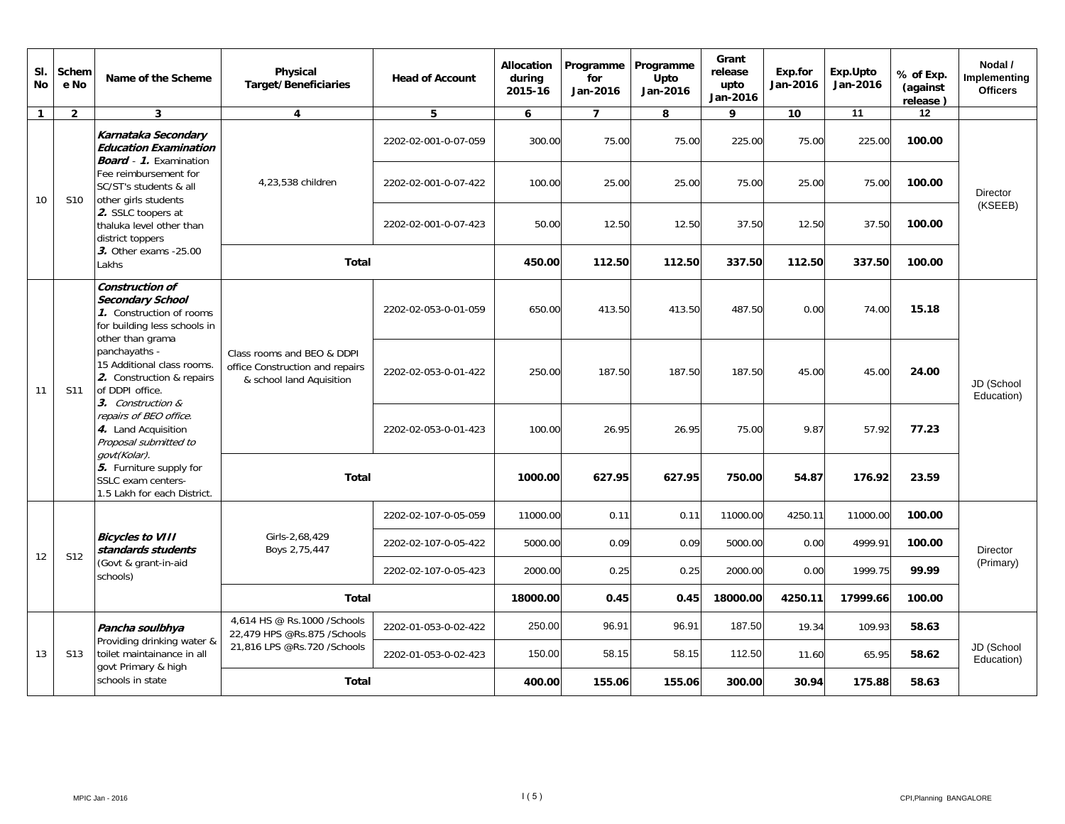| SI.<br><b>No</b> | Schem<br>e No                                                                                                                     | Name of the Scheme                                                                                                                                                                         | Physical<br><b>Target/Beneficiaries</b>                                                   | <b>Head of Account</b> | <b>Allocation</b><br>during<br>2015-16 | Programme<br>for<br>Jan-2016 | Programme<br>Upto<br>Jan-2016 | Grant<br>release<br>upto<br>Jan-2016 | Exp.for<br>Jan-2016 | Exp.Upto<br>Jan-2016 | % of Exp.<br>(against<br>release) | Nodal /<br>Implementing<br><b>Officers</b> |       |                          |
|------------------|-----------------------------------------------------------------------------------------------------------------------------------|--------------------------------------------------------------------------------------------------------------------------------------------------------------------------------------------|-------------------------------------------------------------------------------------------|------------------------|----------------------------------------|------------------------------|-------------------------------|--------------------------------------|---------------------|----------------------|-----------------------------------|--------------------------------------------|-------|--------------------------|
| $\mathbf{1}$     | $\overline{2}$                                                                                                                    | 3                                                                                                                                                                                          | $\overline{4}$                                                                            | 5                      | 6                                      | $\mathbf{7}$                 | 8                             | $\mathbf{Q}$                         | 10                  | 11                   | 12                                |                                            |       |                          |
|                  |                                                                                                                                   | Karnataka Secondary<br><b>Education Examination</b><br><b>Board</b> - 1. Examination                                                                                                       |                                                                                           | 2202-02-001-0-07-059   | 300.00                                 | 75.00                        | 75.00                         | 225.00                               | 75.00               | 225.00               | 100.00                            |                                            |       |                          |
| 10               | S <sub>10</sub>                                                                                                                   | Fee reimbursement for<br>SC/ST's students & all<br>other girls students<br>2. SSLC toopers at<br>thaluka level other than<br>district toppers<br>3. Other exams -25.00<br>Lakhs            | 4,23,538 children                                                                         | 2202-02-001-0-07-422   | 100.00                                 | 25.00                        | 25.00                         | 75.00                                | 25.00               | 75.00                | 100.00                            | <b>Director</b>                            |       |                          |
|                  |                                                                                                                                   |                                                                                                                                                                                            |                                                                                           | 2202-02-001-0-07-423   | 50.00                                  | 12.50                        | 12.50                         | 37.50                                | 12.50               | 37.50                | 100.00                            | (KSEEB)                                    |       |                          |
|                  |                                                                                                                                   |                                                                                                                                                                                            | <b>Total</b>                                                                              |                        | 450.00                                 | 112.50                       | 112.50                        | 337.50                               | 112.50              | 337.50               | 100.00                            |                                            |       |                          |
|                  | <b>Construction of</b><br><b>Secondary School</b><br>1. Construction of rooms<br>for building less schools in<br>other than grama | 2202-02-053-0-01-059                                                                                                                                                                       | 650.00                                                                                    | 413.50                 | 413.50                                 | 487.50                       | 0.00                          | 74.00                                | 15.18               |                      |                                   |                                            |       |                          |
| 11               | S11                                                                                                                               | panchayaths -<br>15 Additional class rooms.<br>2. Construction & repairs<br>of DDPI office.<br>3. Construction &<br>repairs of BEO office.<br>4. Land Acquisition<br>Proposal submitted to | Class rooms and BEO & DDPI<br>office Construction and repairs<br>& school land Aquisition | 2202-02-053-0-01-422   | 250.00                                 | 187.50                       | 187.50                        | 187.50                               | 45.00               | 45.00                | 24.00                             | JD (School<br>Education)                   |       |                          |
|                  |                                                                                                                                   |                                                                                                                                                                                            |                                                                                           | 2202-02-053-0-01-423   | 100.00                                 | 26.95                        | 26.95                         | 75.00                                | 9.87                | 57.92                | 77.23                             |                                            |       |                          |
|                  |                                                                                                                                   | govt(Kolar).<br>5. Furniture supply for<br><b>Total</b><br>SSLC exam centers-<br>1.5 Lakh for each District.                                                                               |                                                                                           |                        | 1000.00                                | 627.95                       | 627.95                        | 750.00                               | 54.87               | 176.92               | 23.59                             |                                            |       |                          |
|                  |                                                                                                                                   |                                                                                                                                                                                            |                                                                                           | 2202-02-107-0-05-059   | 11000.00                               | 0.11                         | 0.11                          | 11000.00                             | 4250.11             | 11000.00             | 100.00                            |                                            |       |                          |
| 12               | S12                                                                                                                               | <b>Bicycles to VIII</b><br>standards students                                                                                                                                              | Girls-2,68,429<br>Boys 2,75,447                                                           | 2202-02-107-0-05-422   | 5000.00                                | 0.09                         | 0.09                          | 5000.00                              | 0.00                | 4999.91              | 100.00                            | <b>Director</b>                            |       |                          |
|                  |                                                                                                                                   | (Govt & grant-in-aid<br>schools)                                                                                                                                                           |                                                                                           | 2202-02-107-0-05-423   | 2000.00                                | 0.25                         | 0.25                          | 2000.00                              | 0.00                | 1999.75              | 99.99                             | (Primary)                                  |       |                          |
|                  |                                                                                                                                   |                                                                                                                                                                                            | <b>Total</b>                                                                              |                        | 18000.00                               | 0.45                         | 0.45                          | 18000.00                             | 4250.11             | 17999.66             | 100.00                            |                                            |       |                          |
|                  |                                                                                                                                   | Pancha soulbhya                                                                                                                                                                            | 4.614 HS @ Rs.1000 / Schools<br>22,479 HPS @Rs.875 /Schools                               | 2202-01-053-0-02-422   | 250.00                                 | 96.91                        | 96.91                         | 187.50                               | 19.34               | 109.93               | 58.63                             |                                            |       |                          |
| 13               | S <sub>13</sub>                                                                                                                   |                                                                                                                                                                                            | Providing drinking water &<br>toilet maintainance in all                                  |                        | 21,816 LPS @Rs.720 /Schools            | 2202-01-053-0-02-423         | 150.00                        | 58.15                                | 58.15               | 112.50               | 11.60                             | 65.95                                      | 58.62 | JD (School<br>Education) |
|                  |                                                                                                                                   | govt Primary & high<br>schools in state                                                                                                                                                    | <b>Total</b>                                                                              |                        | 400.00                                 | 155.06                       | 155.06                        | 300.00                               | 30.94               | 175.88               | 58.63                             |                                            |       |                          |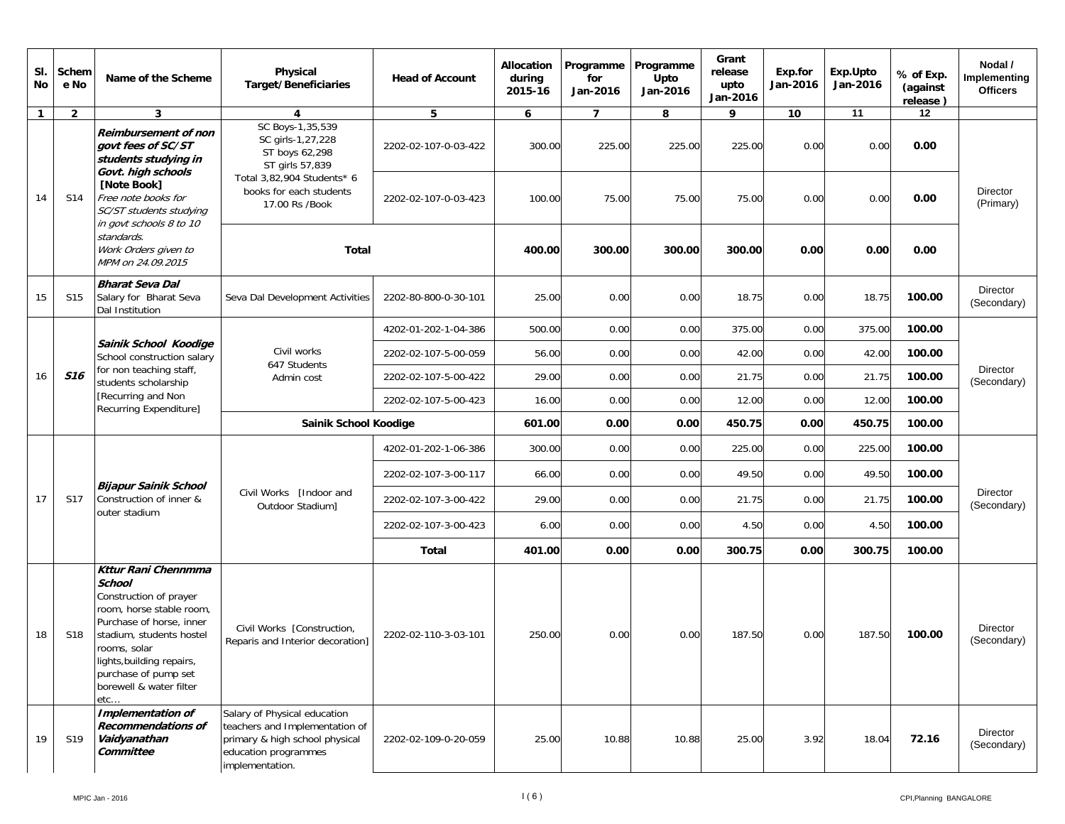| SI.<br>No    | Schem<br>e No   | Name of the Scheme                                                                                                                                                                                                                                 | Physical<br><b>Target/Beneficiaries</b>                                                                                                     | <b>Head of Account</b> | Allocation<br>during<br>2015-16 | Programme<br>for<br>Jan-2016                                                                                                                                                                                                                                                                                                                                                                                     | Programme<br>Upto<br>Jan-2016 | Grant<br>release<br>upto<br>Jan-2016 | Exp.for<br>Jan-2016 | Exp.Upto<br>Jan-2016 | % of Exp.<br>(against<br>release)                                                                                                                                    | Nodal /<br>Implementing<br><b>Officers</b> |
|--------------|-----------------|----------------------------------------------------------------------------------------------------------------------------------------------------------------------------------------------------------------------------------------------------|---------------------------------------------------------------------------------------------------------------------------------------------|------------------------|---------------------------------|------------------------------------------------------------------------------------------------------------------------------------------------------------------------------------------------------------------------------------------------------------------------------------------------------------------------------------------------------------------------------------------------------------------|-------------------------------|--------------------------------------|---------------------|----------------------|----------------------------------------------------------------------------------------------------------------------------------------------------------------------|--------------------------------------------|
| $\mathbf{1}$ | $\overline{2}$  | 3                                                                                                                                                                                                                                                  | $\overline{4}$                                                                                                                              | 5                      | 6                               |                                                                                                                                                                                                                                                                                                                                                                                                                  |                               |                                      |                     |                      |                                                                                                                                                                      |                                            |
|              |                 | <b>Reimbursement of non</b><br>govt fees of SC/ST<br>students studying in<br>Govt. high schools                                                                                                                                                    | SC Boys-1,35,539<br>SC girls-1,27,228<br>ST boys 62,298<br>ST girls 57,839                                                                  | 2202-02-107-0-03-422   | 300.00                          | 225.00                                                                                                                                                                                                                                                                                                                                                                                                           | 225.00                        | 225.00                               | 0.00                | 0.00                 | 0.00                                                                                                                                                                 |                                            |
| 14           | S14             | [Note Book]<br>Free note books for<br>SC/ST students studying                                                                                                                                                                                      | Total 3,82,904 Students* 6<br>books for each students<br>17.00 Rs /Book                                                                     | 2202-02-107-0-03-423   | 100.00                          | 75.00                                                                                                                                                                                                                                                                                                                                                                                                            | 75.00                         | 75.00                                | 0.00                | 0.00                 | 0.00                                                                                                                                                                 | Director<br>(Primary)                      |
|              |                 | in govt schools 8 to 10<br>standards.<br>Work Orders given to<br>MPM on 24.09.2015                                                                                                                                                                 | Total                                                                                                                                       |                        | 400.00                          | 300.00                                                                                                                                                                                                                                                                                                                                                                                                           | 300.00                        | 300.00                               |                     | 0.00                 | 0.00                                                                                                                                                                 |                                            |
| 15           | S <sub>15</sub> | <b>Bharat Seva Dal</b><br>Salary for Bharat Seva<br>Dal Institution                                                                                                                                                                                | Seva Dal Development Activities                                                                                                             | 2202-80-800-0-30-101   | 25.00                           | 0.00                                                                                                                                                                                                                                                                                                                                                                                                             | 0.00                          | 18.75                                |                     | 18.75                | 100.00                                                                                                                                                               | Director<br>(Secondary)                    |
|              |                 |                                                                                                                                                                                                                                                    |                                                                                                                                             | 4202-01-202-1-04-386   | 500.00                          | 0.00                                                                                                                                                                                                                                                                                                                                                                                                             | 0.00                          | 375.00                               |                     | 375.00               | 100.00                                                                                                                                                               |                                            |
| 16           |                 | Sainik School Koodige<br>School construction salary                                                                                                                                                                                                | Civil works                                                                                                                                 | 2202-02-107-5-00-059   | 56.00                           | 0.00                                                                                                                                                                                                                                                                                                                                                                                                             | 0.00                          | 42.00                                | 0.00                | 42.00                | 12<br>100.00<br>21.75<br>100.00<br>100.00<br>12.00<br>100.00<br>100.00<br>100.00<br>49.50<br>21.75<br>100.00<br>100.00<br>4.50<br>100.00<br>100.00<br>18.04<br>72.16 |                                            |
|              | <b>S16</b>      | for non teaching staff,<br>students scholarship                                                                                                                                                                                                    | 647 Students<br>Admin cost                                                                                                                  | 2202-02-107-5-00-422   | 29.00                           | 9<br>11<br>$\overline{7}$<br>8<br>10<br>0.00<br>0.00<br>0.00<br>0.00<br>0.00<br>21.75<br>0.00<br>0.00<br>12.00<br>0.00<br>0.00<br>0.00<br>0.00<br>450.75<br>0.00<br>450.75<br>0.00<br>225.00<br>0.00<br>225.00<br>0.00<br>0.00<br>0.00<br>0.00<br>49.50<br>0.00<br>0.00<br>21.75<br>0.00<br>0.00<br>0.00<br>4.50<br>0.00<br>300.75<br>0.00<br>0.00<br>300.75<br>0.00<br>187.50<br>0.00<br>0.00<br>187.50<br>0.00 | Director<br>(Secondary)       |                                      |                     |                      |                                                                                                                                                                      |                                            |
|              |                 | [Recurring and Non<br>Recurring Expenditure]                                                                                                                                                                                                       |                                                                                                                                             | 2202-02-107-5-00-423   | 16.00                           |                                                                                                                                                                                                                                                                                                                                                                                                                  |                               |                                      |                     |                      |                                                                                                                                                                      |                                            |
|              |                 |                                                                                                                                                                                                                                                    | Sainik School Koodige                                                                                                                       |                        | 601.00                          |                                                                                                                                                                                                                                                                                                                                                                                                                  |                               |                                      |                     |                      |                                                                                                                                                                      |                                            |
|              |                 |                                                                                                                                                                                                                                                    |                                                                                                                                             | 4202-01-202-1-06-386   | 300.00                          |                                                                                                                                                                                                                                                                                                                                                                                                                  |                               |                                      |                     |                      |                                                                                                                                                                      | Director<br>(Secondary)                    |
|              |                 | <b>Bijapur Sainik School</b>                                                                                                                                                                                                                       |                                                                                                                                             | 2202-02-107-3-00-117   | 66.00                           |                                                                                                                                                                                                                                                                                                                                                                                                                  |                               |                                      |                     |                      |                                                                                                                                                                      |                                            |
| 17           | S <sub>17</sub> | Construction of inner &                                                                                                                                                                                                                            | Civil Works [Indoor and<br>Outdoor Stadium]                                                                                                 | 2202-02-107-3-00-422   | 29.00                           |                                                                                                                                                                                                                                                                                                                                                                                                                  |                               |                                      |                     |                      |                                                                                                                                                                      |                                            |
|              |                 | outer stadium                                                                                                                                                                                                                                      |                                                                                                                                             | 2202-02-107-3-00-423   | 6.00                            |                                                                                                                                                                                                                                                                                                                                                                                                                  |                               |                                      |                     |                      |                                                                                                                                                                      |                                            |
|              |                 |                                                                                                                                                                                                                                                    |                                                                                                                                             | Total                  | 401.00                          |                                                                                                                                                                                                                                                                                                                                                                                                                  |                               |                                      |                     |                      |                                                                                                                                                                      |                                            |
| 18           | S <sub>18</sub> | Kttur Rani Chennmma<br><b>School</b><br>Construction of prayer<br>room, horse stable room,<br>Purchase of horse, inner<br>stadium, students hostel<br>rooms, solar<br>lights, building repairs,<br>purchase of pump set<br>borewell & water filter | Civil Works [Construction,<br>Reparis and Interior decoration]                                                                              | 2202-02-110-3-03-101   | 250.00                          |                                                                                                                                                                                                                                                                                                                                                                                                                  |                               |                                      |                     |                      |                                                                                                                                                                      | Director<br>(Secondary)                    |
| 19           | S19             | etc<br>Implementation of<br><b>Recommendations of</b><br>Vaidyanathan<br>Committee                                                                                                                                                                 | Salary of Physical education<br>teachers and Implementation of<br>primary & high school physical<br>education programmes<br>implementation. | 2202-02-109-0-20-059   | 25.00                           | 10.88                                                                                                                                                                                                                                                                                                                                                                                                            | 10.88                         | 25.00                                | 3.92                |                      |                                                                                                                                                                      | Director<br>(Secondary)                    |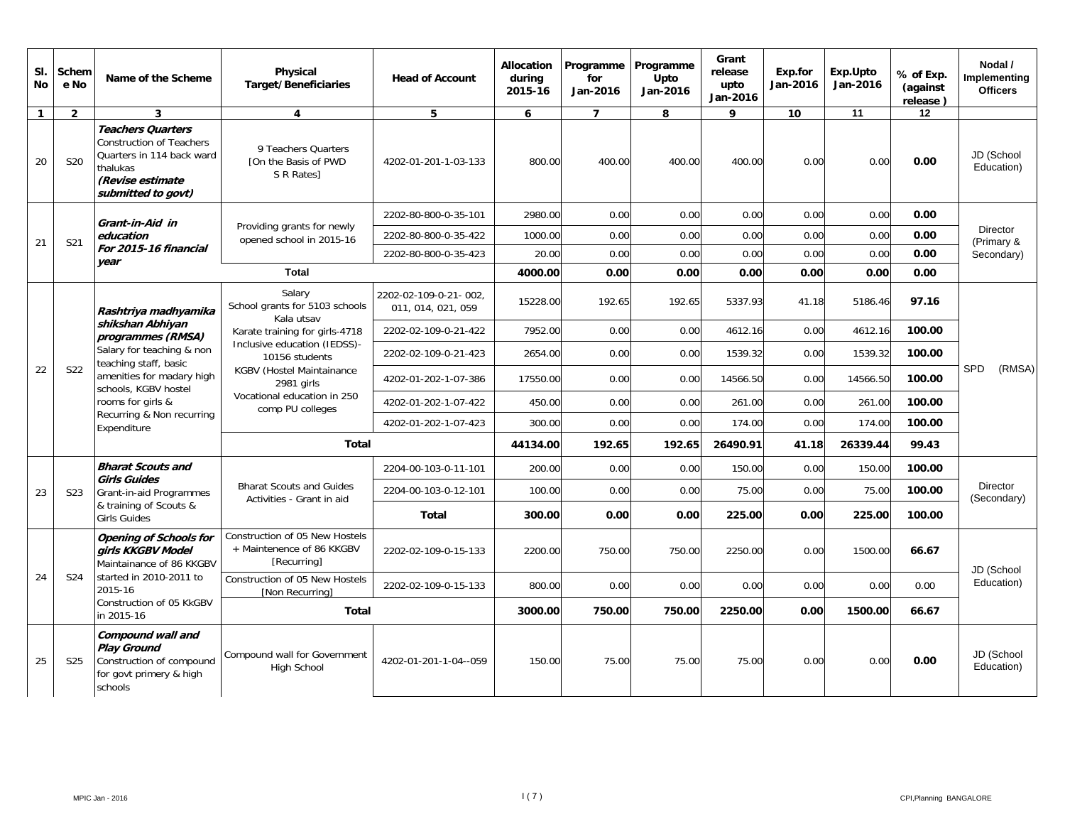| SI.<br><b>No</b> | Schem<br>e No   | Name of the Scheme                                                                                                                             | <b>Physical</b><br><b>Target/Beneficiaries</b>                             | <b>Head of Account</b>                      | <b>Allocation</b><br>during<br>2015-16 | Programme<br>for<br>Jan-2016 | Programme<br>Upto<br>Jan-2016 | Grant<br>release<br>upto<br>Jan-2016 | Exp.for<br>Jan-2016 | Exp.Upto<br>Jan-2016 | % of Exp.<br>(against<br>release) | Nodal /<br>Implementing<br><b>Officers</b> |
|------------------|-----------------|------------------------------------------------------------------------------------------------------------------------------------------------|----------------------------------------------------------------------------|---------------------------------------------|----------------------------------------|------------------------------|-------------------------------|--------------------------------------|---------------------|----------------------|-----------------------------------|--------------------------------------------|
| $\mathbf{1}$     | $\overline{2}$  | 3                                                                                                                                              | $\overline{4}$                                                             | 5                                           | 6                                      | $\overline{7}$               | 8                             | 9                                    | 10                  | 11                   | 12                                |                                            |
| 20               | <b>S20</b>      | <b>Teachers Quarters</b><br><b>Construction of Teachers</b><br>Quarters in 114 back ward<br>thalukas<br>(Revise estimate<br>submitted to govt) | 9 Teachers Quarters<br>[On the Basis of PWD<br>S R Ratesl                  | 4202-01-201-1-03-133                        | 800.00                                 | 400.00                       | 400.00                        | 400.00                               | 0.00                | 0.00                 | 0.00                              | JD (School<br>Education)                   |
|                  |                 | Grant-in-Aid in                                                                                                                                |                                                                            | 2202-80-800-0-35-101                        | 2980.00                                | 0.00                         | 0.00                          | 0.00                                 | 0.00                | 0.00                 | 0.00                              |                                            |
| 21               | S21             | education                                                                                                                                      | Providing grants for newly<br>opened school in 2015-16                     | 2202-80-800-0-35-422                        | 1000.00                                | 0.00                         | 0.00                          | 0.00                                 | 0.00                | 0.00                 | 0.00                              | Director<br>(Primary &                     |
|                  |                 | For 2015-16 financial<br>vear                                                                                                                  |                                                                            | 2202-80-800-0-35-423                        | 20.00                                  | 0.00                         | 0.00                          | 0.00                                 | 0.00                | 0.00                 | 0.00                              | Secondary)                                 |
|                  |                 |                                                                                                                                                | <b>Total</b>                                                               |                                             | 4000.00                                | 0.00                         | 0.00                          | 0.00                                 | 0.00                | 0.00                 | 0.00                              |                                            |
|                  |                 | Rashtriya madhyamika                                                                                                                           | Salary<br>School grants for 5103 schools<br>Kala utsav                     | 2202-02-109-0-21-002,<br>011, 014, 021, 059 | 15228.00                               | 192.65                       | 192.65                        | 5337.93                              | 41.18               | 5186.46              | 97.16                             |                                            |
|                  |                 | shikshan Abhiyan<br>programmes (RMSA)                                                                                                          | Karate training for girls-4718                                             | 2202-02-109-0-21-422                        | 7952.00                                | 0.00                         | 0.00                          | 4612.16                              | 0.00                | 4612.16              | 100.00                            |                                            |
|                  |                 | Salary for teaching & non<br>teaching staff, basic<br>amenities for madary high<br>schools, KGBV hostel                                        | Inclusive education (IEDSS)-<br>10156 students                             | 2202-02-109-0-21-423                        | 2654.00                                | 0.00                         | 0.00                          | 1539.32                              | 0.00                | 1539.32              | 100.00                            |                                            |
| 22               | S22             |                                                                                                                                                | <b>KGBV (Hostel Maintainance</b><br>2981 girls                             | 4202-01-202-1-07-386                        | 17550.00                               | 0.00                         | 0.00                          | 14566.50                             | 0.00                | 14566.50             | 100.00                            | <b>SPD</b><br>(RMSA)                       |
|                  |                 | rooms for girls &                                                                                                                              | Vocational education in 250<br>comp PU colleges                            | 4202-01-202-1-07-422                        | 450.00                                 | 0.00                         | 0.00                          | 261.00                               | 0.00                | 261.00               | 100.00                            |                                            |
|                  |                 | Recurring & Non recurring<br>Expenditure                                                                                                       |                                                                            | 4202-01-202-1-07-423                        | 300.00                                 | 0.00                         | 0.00                          | 174.00                               | 0.00                | 174.00               | 100.00                            |                                            |
|                  |                 |                                                                                                                                                | <b>Total</b>                                                               |                                             | 44134.00                               | 192.65                       | 192.65                        | 26490.91                             | 41.18               | 26339.44             | 99.43                             |                                            |
|                  |                 | <b>Bharat Scouts and</b><br><b>Girls Guides</b>                                                                                                |                                                                            | 2204-00-103-0-11-101                        | 200.00                                 | 0.00                         | 0.00                          | 150.00                               | 0.00                | 150.00               | 100.00                            |                                            |
| 23               | S <sub>23</sub> | Grant-in-aid Programmes                                                                                                                        | <b>Bharat Scouts and Guides</b><br>Activities - Grant in aid               | 2204-00-103-0-12-101                        | 100.00                                 | 0.00                         | 0.00                          | 75.00                                | 0.00                | 75.00                | 100.00                            | Director<br>(Secondary)                    |
|                  |                 | & training of Scouts &<br><b>Girls Guides</b>                                                                                                  |                                                                            | <b>Total</b>                                | 300.00                                 | 0.00                         | 0.00                          | 225.00                               | 0.00                | 225.00               | 100.00                            |                                            |
|                  |                 | <b>Opening of Schools for</b><br>girls KKGBV Model<br>Maintainance of 86 KKGBV                                                                 | Construction of 05 New Hostels<br>+ Maintenence of 86 KKGBV<br>[Recurring] | 2202-02-109-0-15-133<br>2200.00             | 750.00                                 | 750.00                       | 2250.00                       | 0.00                                 | 1500.00             | 66.67                | JD (School                        |                                            |
| 24               | S <sub>24</sub> | started in 2010-2011 to<br>2015-16                                                                                                             | Construction of 05 New Hostels<br><b>INon Recurringl</b>                   | 2202-02-109-0-15-133                        | 800.00                                 | 0.00                         | 0.00                          | 0.00                                 | 0.00                | 0.00                 | 0.00                              | Education)                                 |
|                  |                 | Construction of 05 KkGBV<br>in 2015-16                                                                                                         | <b>Total</b>                                                               |                                             | 3000.00                                | 750.00                       | 750.00                        | 2250.00                              | 0.00                | 1500.00              | 66.67                             |                                            |
| 25               | S <sub>25</sub> | Compound wall and<br><b>Play Ground</b><br>Construction of compound<br>for govt primery & high<br>schools                                      | Compound wall for Government<br>High School                                | 4202-01-201-1-04--059                       | 150.00                                 | 75.00                        | 75.00                         | 75.00                                | 0.00                | 0.00                 | 0.00                              | JD (School<br>Education)                   |